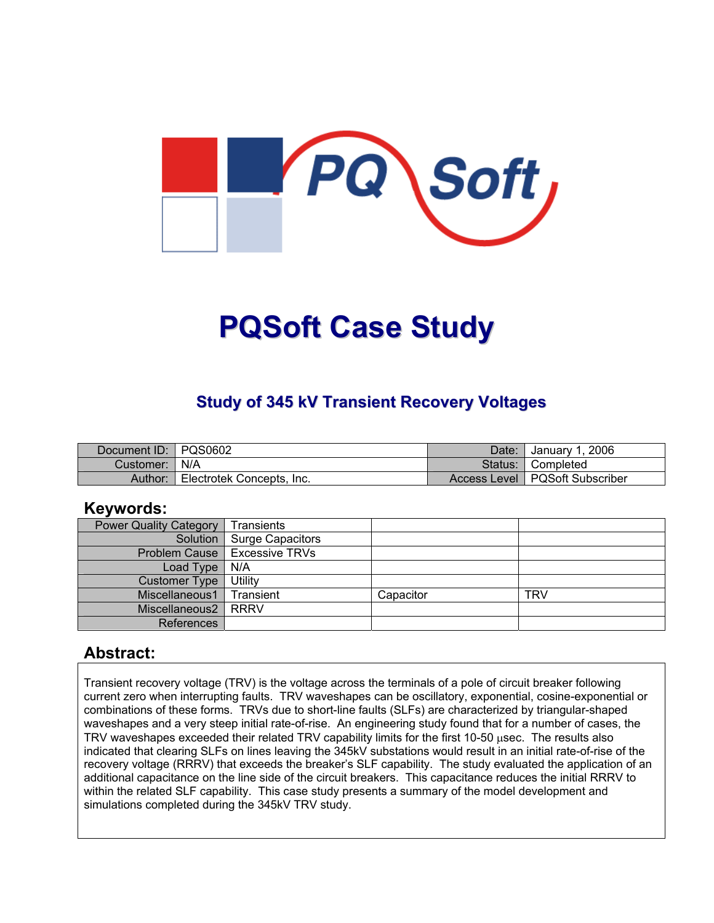

# **PQSoft Case Study**

## **Study of 345 kV Transient Recovery Voltages**

| Document ID: PQS0602 |                           | Date:   | January 1, 2006                  |
|----------------------|---------------------------|---------|----------------------------------|
| Customer:   N/A      |                           | Status: | <b>। Completed</b>               |
| Author:              | Electrotek Concepts, Inc. |         | Access Level   PQSoft Subscriber |

#### **Keywords:**

| <b>Power Quality Category</b> | Transients                            |           |     |
|-------------------------------|---------------------------------------|-----------|-----|
|                               | Solution   Surge Capacitors           |           |     |
|                               | <b>Problem Cause   Excessive TRVs</b> |           |     |
| Load Type                     | N/A                                   |           |     |
| <b>Customer Type</b>          | Utility                               |           |     |
| Miscellaneous1                | Transient                             | Capacitor | TRV |
| Miscellaneous2   RRRV         |                                       |           |     |
| References                    |                                       |           |     |

#### **Abstract:**

Transient recovery voltage (TRV) is the voltage across the terminals of a pole of circuit breaker following current zero when interrupting faults. TRV waveshapes can be oscillatory, exponential, cosine-exponential or combinations of these forms. TRVs due to short-line faults (SLFs) are characterized by triangular-shaped waveshapes and a very steep initial rate-of-rise. An engineering study found that for a number of cases, the TRV waveshapes exceeded their related TRV capability limits for the first 10-50 usec. The results also indicated that clearing SLFs on lines leaving the 345kV substations would result in an initial rate-of-rise of the recovery voltage (RRRV) that exceeds the breaker's SLF capability. The study evaluated the application of an additional capacitance on the line side of the circuit breakers. This capacitance reduces the initial RRRV to within the related SLF capability. This case study presents a summary of the model development and simulations completed during the 345kV TRV study.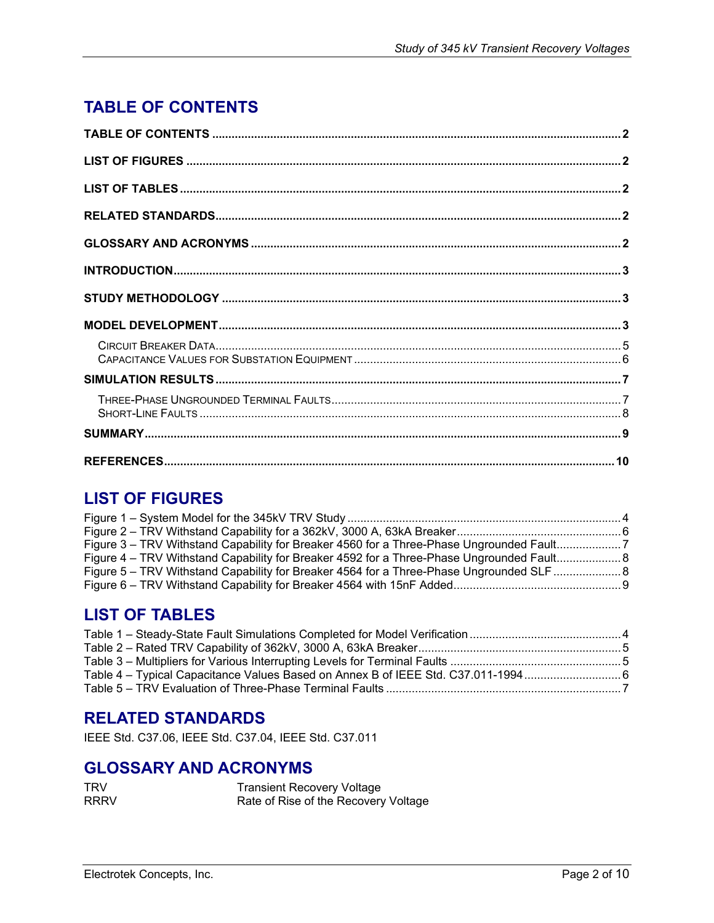# <span id="page-1-0"></span>**TABLE OF CONTENTS**

# **LIST OF FIGURES**

| Figure 3 – TRV Withstand Capability for Breaker 4560 for a Three-Phase Ungrounded Fault7  |  |
|-------------------------------------------------------------------------------------------|--|
| Figure 4 – TRV Withstand Capability for Breaker 4592 for a Three-Phase Ungrounded Fault 8 |  |
| Figure 5 – TRV Withstand Capability for Breaker 4564 for a Three-Phase Ungrounded SLF  8  |  |
|                                                                                           |  |

## **LIST OF TABLES**

| Table 4 – Typical Capacitance Values Based on Annex B of IEEE Std. C37.011-1994 |  |
|---------------------------------------------------------------------------------|--|
|                                                                                 |  |

## **RELATED STANDARDS**

IEEE Std. C37.06, IEEE Std. C37.04, IEEE Std. C37.011

#### **GLOSSARY AND ACRONYMS**

| <b>TRV</b>  | <b>Transient Recovery Voltage</b>    |
|-------------|--------------------------------------|
| <b>RRRV</b> | Rate of Rise of the Recovery Voltage |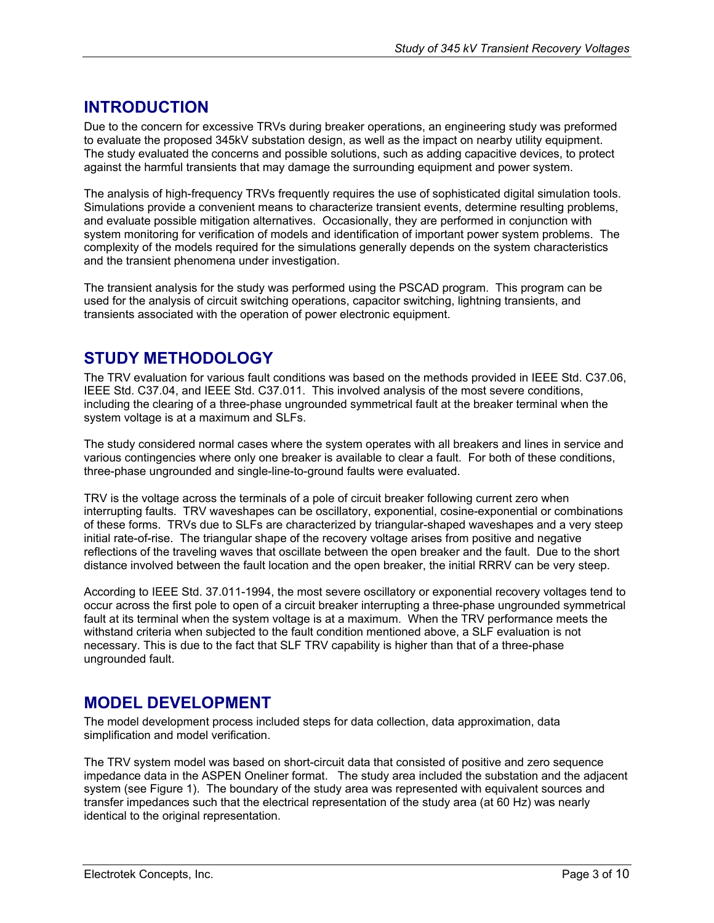## <span id="page-2-0"></span>**INTRODUCTION**

Due to the concern for excessive TRVs during breaker operations, an engineering study was preformed to evaluate the proposed 345kV substation design, as well as the impact on nearby utility equipment. The study evaluated the concerns and possible solutions, such as adding capacitive devices, to protect against the harmful transients that may damage the surrounding equipment and power system.

The analysis of high-frequency TRVs frequently requires the use of sophisticated digital simulation tools. Simulations provide a convenient means to characterize transient events, determine resulting problems, and evaluate possible mitigation alternatives. Occasionally, they are performed in conjunction with system monitoring for verification of models and identification of important power system problems. The complexity of the models required for the simulations generally depends on the system characteristics and the transient phenomena under investigation.

The transient analysis for the study was performed using the PSCAD program. This program can be used for the analysis of circuit switching operations, capacitor switching, lightning transients, and transients associated with the operation of power electronic equipment.

### **STUDY METHODOLOGY**

The TRV evaluation for various fault conditions was based on the methods provided in IEEE Std. C37.06, IEEE Std. C37.04, and IEEE Std. C37.011. This involved analysis of the most severe conditions, including the clearing of a three-phase ungrounded symmetrical fault at the breaker terminal when the system voltage is at a maximum and SLFs.

The study considered normal cases where the system operates with all breakers and lines in service and various contingencies where only one breaker is available to clear a fault. For both of these conditions, three-phase ungrounded and single-line-to-ground faults were evaluated.

TRV is the voltage across the terminals of a pole of circuit breaker following current zero when interrupting faults. TRV waveshapes can be oscillatory, exponential, cosine-exponential or combinations of these forms. TRVs due to SLFs are characterized by triangular-shaped waveshapes and a very steep initial rate-of-rise. The triangular shape of the recovery voltage arises from positive and negative reflections of the traveling waves that oscillate between the open breaker and the fault. Due to the short distance involved between the fault location and the open breaker, the initial RRRV can be very steep.

According to IEEE Std. 37.011-1994, the most severe oscillatory or exponential recovery voltages tend to occur across the first pole to open of a circuit breaker interrupting a three-phase ungrounded symmetrical fault at its terminal when the system voltage is at a maximum. When the TRV performance meets the withstand criteria when subjected to the fault condition mentioned above, a SLF evaluation is not necessary. This is due to the fact that SLF TRV capability is higher than that of a three-phase ungrounded fault.

#### **MODEL DEVELOPMENT**

The model development process included steps for data collection, data approximation, data simplification and model verification.

The TRV system model was based on short-circuit data that consisted of positive and zero sequence impedance data in the ASPEN Oneliner format. The study area included the substation and the adjacent system (see [Figure 1\)](#page-3-1). The boundary of the study area was represented with equivalent sources and transfer impedances such that the electrical representation of the study area (at 60 Hz) was nearly identical to the original representation.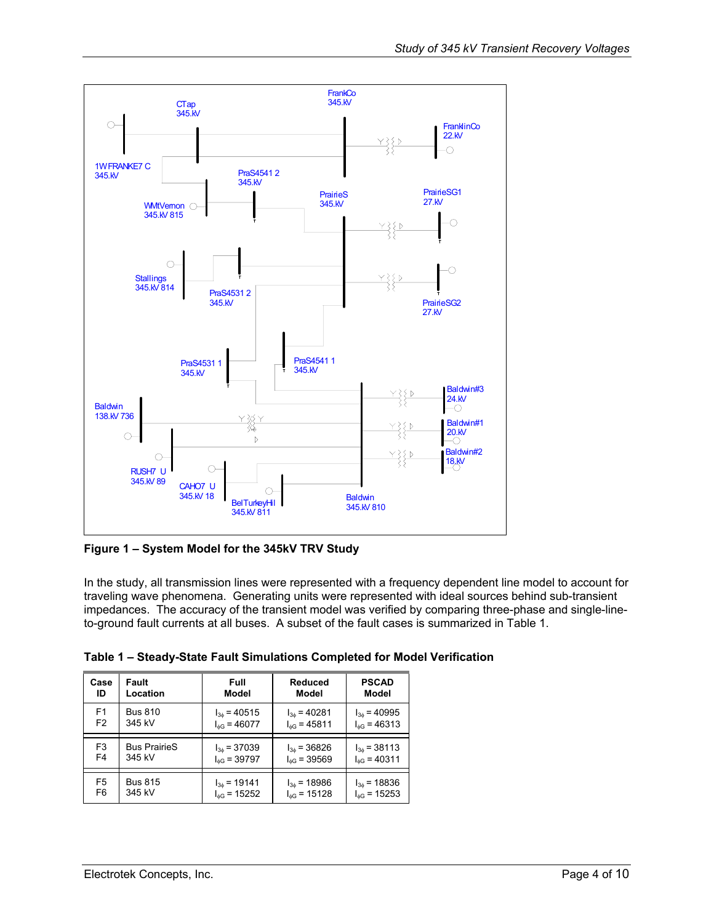<span id="page-3-1"></span><span id="page-3-0"></span>

**Figure 1 – System Model for the 345kV TRV Study**

In the study, all transmission lines were represented with a frequency dependent line model to account for traveling wave phenomena. Generating units were represented with ideal sources behind sub-transient impedances. The accuracy of the transient model was verified by comparing three-phase and single-lineto-ground fault currents at all buses. A subset of the fault cases is summarized in [Table 1.](#page-3-2)

<span id="page-3-2"></span>

| Table 1 – Steady-State Fault Simulations Completed for Model Verification |  |  |  |  |  |
|---------------------------------------------------------------------------|--|--|--|--|--|
|---------------------------------------------------------------------------|--|--|--|--|--|

| Case           | Fault               | Full                    | <b>Reduced</b>       | <b>PSCAD</b>            |
|----------------|---------------------|-------------------------|----------------------|-------------------------|
| ID             | Location            | Model                   | Model                | Model                   |
| F1             | <b>Bus 810</b>      | $I_{36}$ = 40515        | $I_{36}$ = 40281     | $I_{3\phi} = 40995$     |
| F <sub>2</sub> | 345 kV              | $I_{\text{AG}}$ = 46077 | $I_{\phi G}$ = 45811 | $I_{\text{AG}}$ = 46313 |
| F <sub>3</sub> | <b>Bus PrairieS</b> | $I_{36}$ = 37039        | $I_{3\phi} = 36826$  | $I_{36}$ = 38113        |
| F4             | 345 kV              | $I_{\text{dG}}$ = 39797 | $I_{\phi G}$ = 39569 | $I_{\phi G}$ = 40311    |
| F <sub>5</sub> | <b>Bus 815</b>      | $I_{36}$ = 19141        | $I_{3h}$ = 18986     | $I_{3\phi} = 18836$     |
| F <sub>6</sub> | 345 kV              | $I_{\text{AG}}$ = 15252 | $I_{\phi G}$ = 15128 | $I_{\text{dG}}$ = 15253 |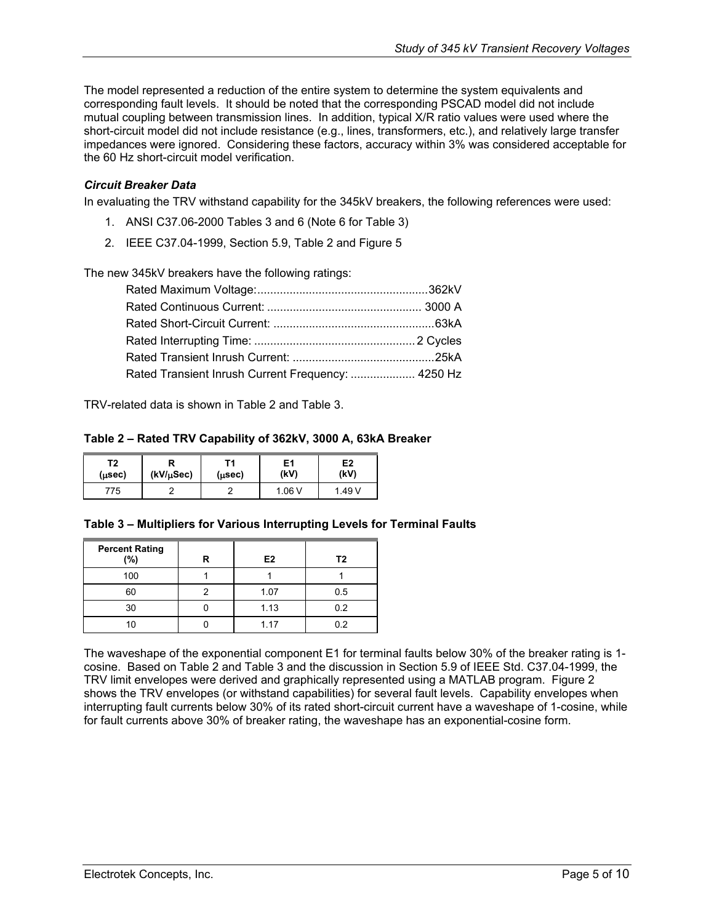<span id="page-4-0"></span>The model represented a reduction of the entire system to determine the system equivalents and corresponding fault levels. It should be noted that the corresponding PSCAD model did not include mutual coupling between transmission lines. In addition, typical X/R ratio values were used where the short-circuit model did not include resistance (e.g., lines, transformers, etc.), and relatively large transfer impedances were ignored. Considering these factors, accuracy within 3% was considered acceptable for the 60 Hz short-circuit model verification.

#### *Circuit Breaker Data*

In evaluating the TRV withstand capability for the 345kV breakers, the following references were used:

- 1. ANSI C37.06-2000 Tables 3 and 6 (Note 6 for Table 3)
- 2. IEEE C37.04-1999, Section 5.9, Table 2 and Figure 5

The new 345kV breakers have the following ratings:

| Rated Transient Inrush Current Frequency:  4250 Hz |  |
|----------------------------------------------------|--|

TRV-related data is shown in [Table 2](#page-4-1) and [Table 3.](#page-4-2)

#### <span id="page-4-1"></span>**Table 2 – Rated TRV Capability of 362kV, 3000 A, 63kA Breaker**

| Τ2<br>$(\mu$ sec $)$ | (kV/µSec) | (µsec) | Ε1<br>(kV) | E <sub>2</sub><br>(kV) |
|----------------------|-----------|--------|------------|------------------------|
| 75                   |           |        | . .06 V    | 1.49 V                 |

#### <span id="page-4-2"></span>**Table 3 – Multipliers for Various Interrupting Levels for Terminal Faults**

| <b>Percent Rating</b><br>(%) | R | E <sub>2</sub> | T2  |
|------------------------------|---|----------------|-----|
| 100                          |   |                |     |
| 60                           |   | 1.07           | 0.5 |
| 30                           |   | 1.13           | 0.2 |
| 10                           |   | 1.17           | 0.2 |

The waveshape of the exponential component E1 for terminal faults below 30% of the breaker rating is 1 cosine. Based on [Table 2](#page-4-1) and [Table 3](#page-4-2) and the discussion in Section 5.9 of IEEE Std. C37.04-1999, the TRV limit envelopes were derived and graphically represented using a MATLAB program. [Figure 2](#page-5-1)  shows the TRV envelopes (or withstand capabilities) for several fault levels. Capability envelopes when interrupting fault currents below 30% of its rated short-circuit current have a waveshape of 1-cosine, while for fault currents above 30% of breaker rating, the waveshape has an exponential-cosine form.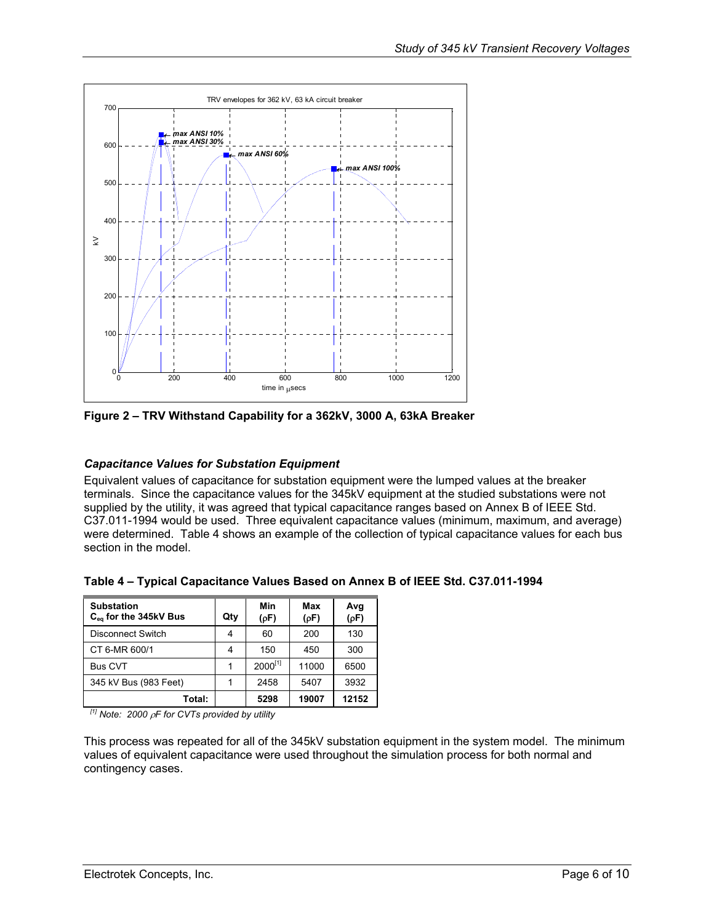<span id="page-5-1"></span><span id="page-5-0"></span>

**Figure 2 – TRV Withstand Capability for a 362kV, 3000 A, 63kA Breaker** 

#### *Capacitance Values for Substation Equipment*

Equivalent values of capacitance for substation equipment were the lumped values at the breaker terminals. Since the capacitance values for the 345kV equipment at the studied substations were not supplied by the utility, it was agreed that typical capacitance ranges based on Annex B of IEEE Std. C37.011-1994 would be used. Three equivalent capacitance values (minimum, maximum, and average) were determined. [Table 4](#page-5-2) shows an example of the collection of typical capacitance values for each bus section in the model.

| <b>Substation</b><br>$C_{eq}$ for the 345kV Bus | Qty | Min<br>(pF)  | Max<br>(pF) | Avg<br>(pF) |
|-------------------------------------------------|-----|--------------|-------------|-------------|
| <b>Disconnect Switch</b>                        | 4   | 60           | 200         | 130         |
| CT 6-MR 600/1                                   | 4   | 150          | 450         | 300         |
| <b>Bus CVT</b>                                  |     | $2000^{[1]}$ | 11000       | 6500        |
| 345 kV Bus (983 Feet)                           |     | 2458         | 5407        | 3932        |
| Total:                                          |     | 5298         | 19007       | 12152       |

<span id="page-5-2"></span>**Table 4 – Typical Capacitance Values Based on Annex B of IEEE Std. C37.011-1994** 

*[1] Note: 2000* ρ*F for CVTs provided by utility* 

This process was repeated for all of the 345kV substation equipment in the system model. The minimum values of equivalent capacitance were used throughout the simulation process for both normal and contingency cases.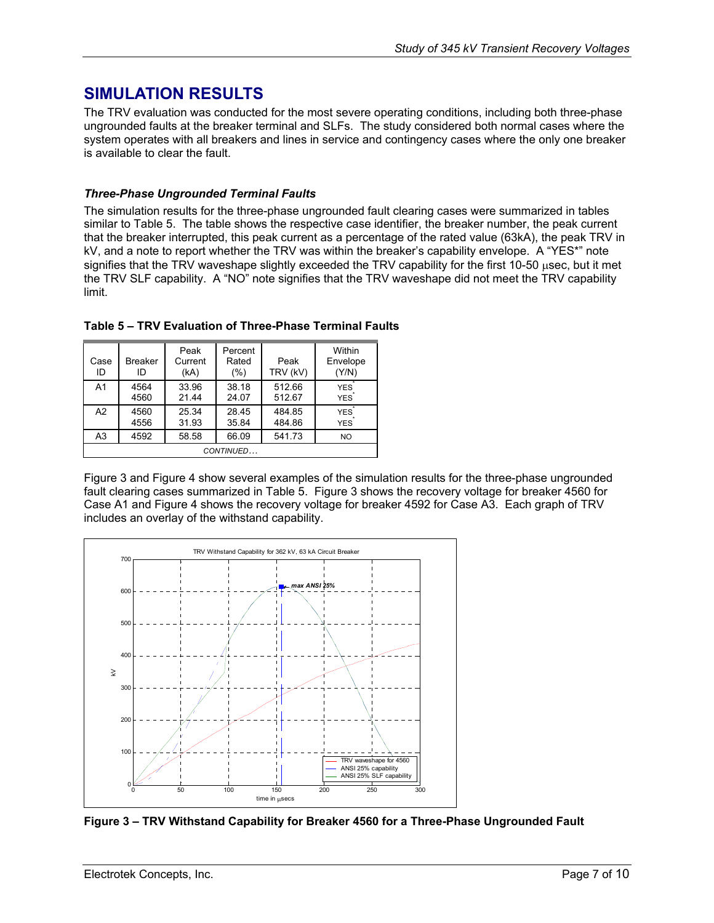## <span id="page-6-0"></span>**SIMULATION RESULTS**

The TRV evaluation was conducted for the most severe operating conditions, including both three-phase ungrounded faults at the breaker terminal and SLFs. The study considered both normal cases where the system operates with all breakers and lines in service and contingency cases where the only one breaker is available to clear the fault.

#### *Three-Phase Ungrounded Terminal Faults*

The simulation results for the three-phase ungrounded fault clearing cases were summarized in tables similar to [Table 5.](#page-6-1) The table shows the respective case identifier, the breaker number, the peak current that the breaker interrupted, this peak current as a percentage of the rated value (63kA), the peak TRV in kV, and a note to report whether the TRV was within the breaker's capability envelope. A "YES\*" note signifies that the TRV waveshape slightly exceeded the TRV capability for the first 10-50 usec, but it met the TRV SLF capability. A "NO" note signifies that the TRV waveshape did not meet the TRV capability limit.

| Case<br>ID     | <b>Breaker</b><br>ID | Peak<br>Current<br>(kA) | Percent<br>Rated<br>(%) | Peak<br>TRV (kV) | Within<br>Envelope<br>(Y/N) |
|----------------|----------------------|-------------------------|-------------------------|------------------|-----------------------------|
| A <sub>1</sub> | 4564<br>4560         | 33.96<br>21.44          | 38.18<br>24.07          | 512.66<br>512.67 | <b>YES</b><br><b>YES</b>    |
| A2             | 4560<br>4556         | 25.34<br>31.93          | 28.45<br>35.84          | 484.85<br>484.86 | <b>YES</b><br><b>YES</b>    |
| A3             | 4592                 | 58.58                   | 66.09                   | 541.73           | <b>NO</b>                   |
| CONTINUED      |                      |                         |                         |                  |                             |

<span id="page-6-1"></span>**Table 5 – TRV Evaluation of Three-Phase Terminal Faults** 

[Figure 3](#page-6-2) and [Figure 4](#page-7-1) show several examples of the simulation results for the three-phase ungrounded fault clearing cases summarized in [Table 5.](#page-6-1) [Figure 3](#page-6-2) shows the recovery voltage for breaker 4560 for Case A1 and [Figure 4](#page-7-1) shows the recovery voltage for breaker 4592 for Case A3. Each graph of TRV includes an overlay of the withstand capability.

<span id="page-6-2"></span>

**Figure 3 – TRV Withstand Capability for Breaker 4560 for a Three-Phase Ungrounded Fault**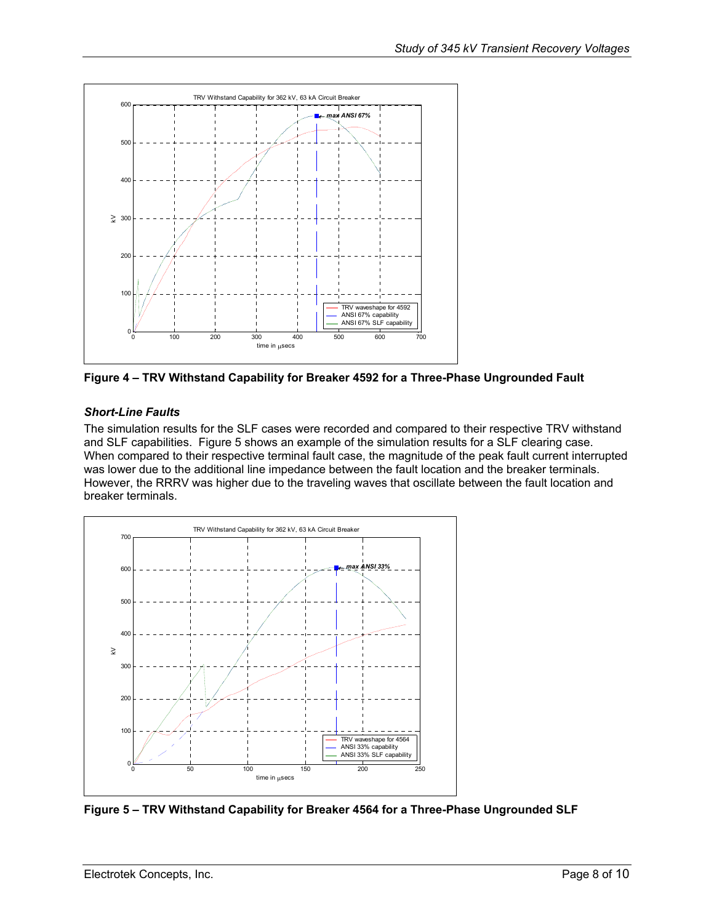<span id="page-7-1"></span><span id="page-7-0"></span>

**Figure 4 – TRV Withstand Capability for Breaker 4592 for a Three-Phase Ungrounded Fault** 

#### *Short-Line Faults*

The simulation results for the SLF cases were recorded and compared to their respective TRV withstand and SLF capabilities. [Figure 5](#page-7-2) shows an example of the simulation results for a SLF clearing case. When compared to their respective terminal fault case, the magnitude of the peak fault current interrupted was lower due to the additional line impedance between the fault location and the breaker terminals. However, the RRRV was higher due to the traveling waves that oscillate between the fault location and breaker terminals.

<span id="page-7-2"></span>

**Figure 5 – TRV Withstand Capability for Breaker 4564 for a Three-Phase Ungrounded SLF**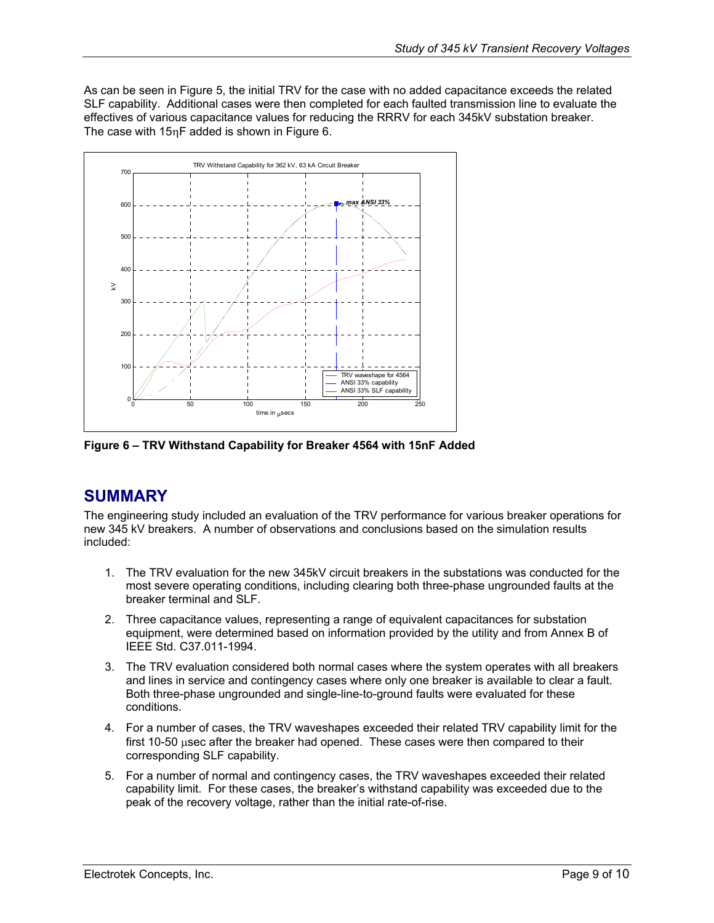<span id="page-8-0"></span>As can be seen in [Figure 5,](#page-7-2) the initial TRV for the case with no added capacitance exceeds the related SLF capability. Additional cases were then completed for each faulted transmission line to evaluate the effectives of various capacitance values for reducing the RRRV for each 345kV substation breaker. The case with 15ηF added is shown in [Figure 6.](#page-8-1)

<span id="page-8-1"></span>

**Figure 6 – TRV Withstand Capability for Breaker 4564 with 15nF Added** 

## **SUMMARY**

The engineering study included an evaluation of the TRV performance for various breaker operations for new 345 kV breakers. A number of observations and conclusions based on the simulation results included:

- 1. The TRV evaluation for the new 345kV circuit breakers in the substations was conducted for the most severe operating conditions, including clearing both three-phase ungrounded faults at the breaker terminal and SLF.
- 2. Three capacitance values, representing a range of equivalent capacitances for substation equipment, were determined based on information provided by the utility and from Annex B of IEEE Std. C37.011-1994.
- 3. The TRV evaluation considered both normal cases where the system operates with all breakers and lines in service and contingency cases where only one breaker is available to clear a fault. Both three-phase ungrounded and single-line-to-ground faults were evaluated for these conditions.
- 4. For a number of cases, the TRV waveshapes exceeded their related TRV capability limit for the first 10-50 µsec after the breaker had opened. These cases were then compared to their corresponding SLF capability.
- 5. For a number of normal and contingency cases, the TRV waveshapes exceeded their related capability limit. For these cases, the breaker's withstand capability was exceeded due to the peak of the recovery voltage, rather than the initial rate-of-rise.